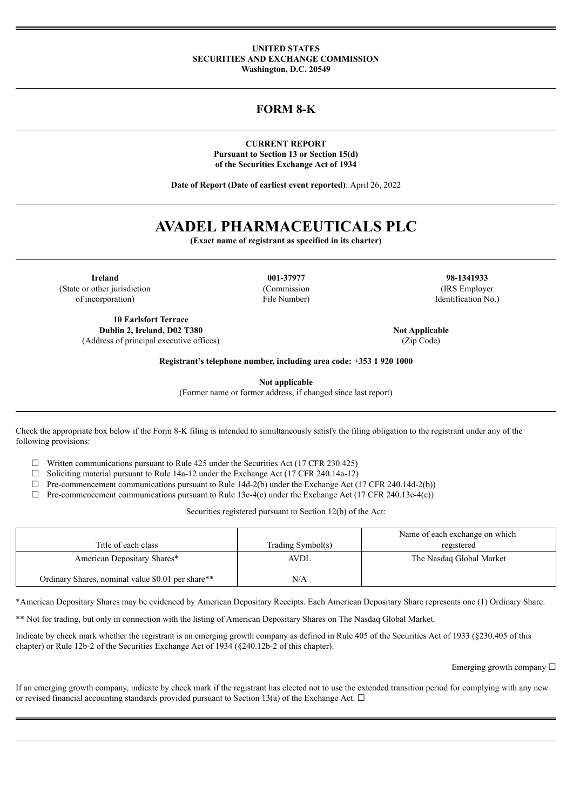#### **UNITED STATES SECURITIES AND EXCHANGE COMMISSION Washington, D.C. 20549**

**FORM 8-K**

**CURRENT REPORT Pursuant to Section 13 or Section 15(d) of the Securities Exchange Act of 1934**

**Date of Report (Date of earliest event reported)**: April 26, 2022

# **AVADEL PHARMACEUTICALS PLC**

**(Exact name of registrant as specified in its charter)**

**Ireland 001-37977 98-1341933** (State or other jurisdiction (Commission (IRS Employer of incorporation) File Number) Identification No.)

**10 Earlsfort Terrace Dublin 2, Ireland, D02 T380 Not Applicable Not Applicable** (Address of principal executive offices) (Zip Code)

**Registrant's telephone number, including area code: +353 1 920 1000**

**Not applicable**

(Former name or former address, if changed since last report)

Check the appropriate box below if the Form 8-K filing is intended to simultaneously satisfy the filing obligation to the registrant under any of the following provisions:

 $\Box$  Written communications pursuant to Rule 425 under the Securities Act (17 CFR 230.425)

 $\Box$  Soliciting material pursuant to Rule 14a-12 under the Exchange Act (17 CFR 240.14a-12)

 $\Box$  Pre-commencement communications pursuant to Rule 14d-2(b) under the Exchange Act (17 CFR 240.14d-2(b))

 $\Box$  Pre-commencement communications pursuant to Rule 13e-4(c) under the Exchange Act (17 CFR 240.13e-4(c))

Securities registered pursuant to Section 12(b) of the Act:

| Title of each class                               | Trading Symbol(s) | Name of each exchange on which<br>registered |
|---------------------------------------------------|-------------------|----------------------------------------------|
| American Depositary Shares*                       | AVDL              | The Nasdaq Global Market                     |
| Ordinary Shares, nominal value \$0.01 per share** | N/A               |                                              |

\*American Depositary Shares may be evidenced by American Depositary Receipts. Each American Depositary Share represents one (1) Ordinary Share.

\*\* Not for trading, but only in connection with the listing of American Depositary Shares on The Nasdaq Global Market.

Indicate by check mark whether the registrant is an emerging growth company as defined in Rule 405 of the Securities Act of 1933 (§230.405 of this chapter) or Rule 12b-2 of the Securities Exchange Act of 1934 (§240.12b-2 of this chapter).

Emerging growth company □

If an emerging growth company, indicate by check mark if the registrant has elected not to use the extended transition period for complying with any new or revised financial accounting standards provided pursuant to Section 13(a) of the Exchange Act.  $\Box$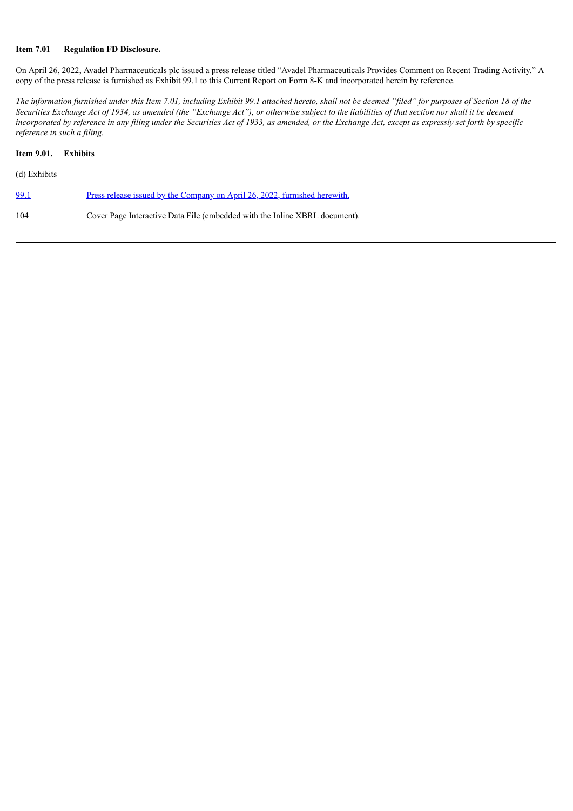# **Item 7.01 Regulation FD Disclosure.**

On April 26, 2022, Avadel Pharmaceuticals plc issued a press release titled "Avadel Pharmaceuticals Provides Comment on Recent Trading Activity." A copy of the press release is furnished as Exhibit 99.1 to this Current Report on Form 8-K and incorporated herein by reference.

The information furnished under this Item 7.01, including Exhibit 99.1 attached hereto, shall not be deemed "filed" for purposes of Section 18 of the Securities Exchange Act of 1934, as amended (the "Exchange Act"), or otherwise subject to the liabilities of that section nor shall it be deemed incorporated by reference in any filing under the Securities Act of 1933, as amended, or the Exchange Act, except as expressly set forth by specific *reference in such a filing.*

# **Item 9.01. Exhibits**

|  | (d) Exhibits |  |
|--|--------------|--|
|--|--------------|--|

| <u>99.1</u> | <u>Press release issued by the Company on April 26, 2022, furnished herewith.</u> |
|-------------|-----------------------------------------------------------------------------------|
| 104         | Cover Page Interactive Data File (embedded with the Inline XBRL document).        |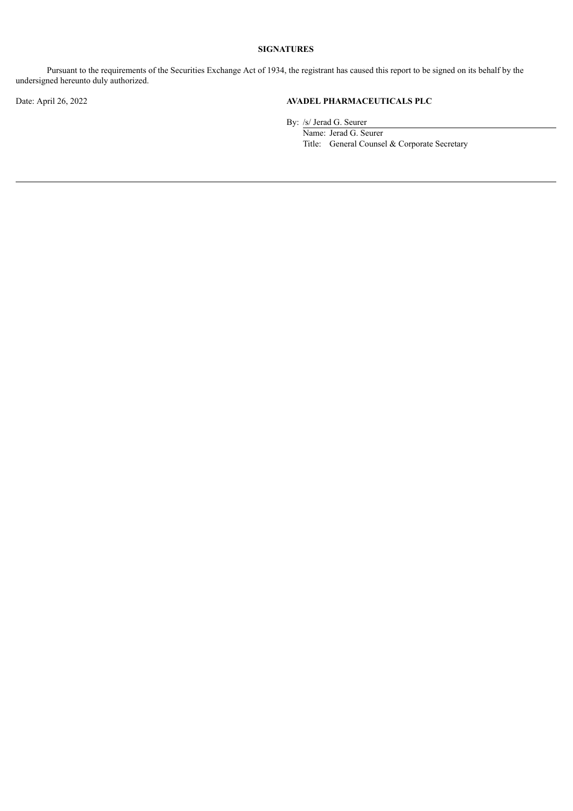# **SIGNATURES**

Pursuant to the requirements of the Securities Exchange Act of 1934, the registrant has caused this report to be signed on its behalf by the undersigned hereunto duly authorized.

# Date: April 26, 2022 **AVADEL PHARMACEUTICALS PLC**

By: /s/ Jerad G. Seurer

Name: Jerad G. Seurer Title: General Counsel & Corporate Secretary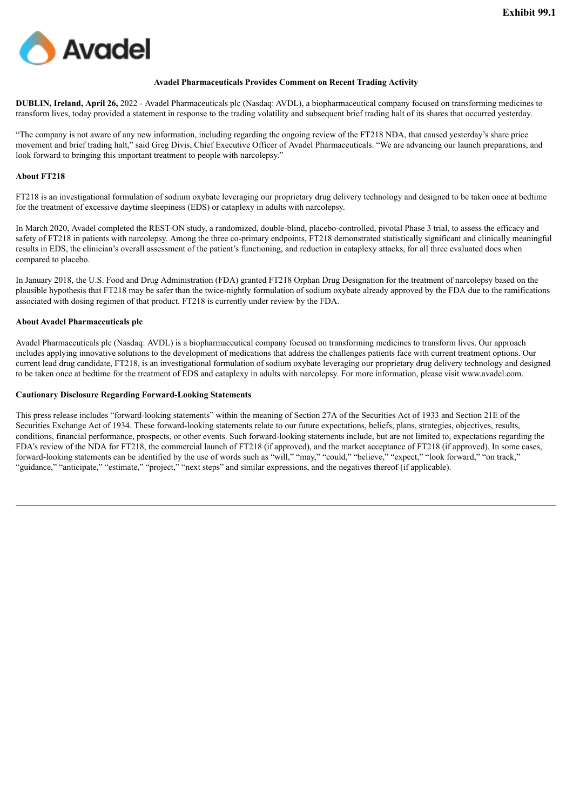<span id="page-3-0"></span>

#### **Avadel Pharmaceuticals Provides Comment on Recent Trading Activity**

**DUBLIN, Ireland, April 26,** 2022 - Avadel Pharmaceuticals plc (Nasdaq: AVDL), a biopharmaceutical company focused on transforming medicines to transform lives, today provided a statement in response to the trading volatility and subsequent brief trading halt of its shares that occurred yesterday.

"The company is not aware of any new information, including regarding the ongoing review of the FT218 NDA, that caused yesterday's share price movement and brief trading halt," said Greg Divis, Chief Executive Officer of Avadel Pharmaceuticals. "We are advancing our launch preparations, and look forward to bringing this important treatment to people with narcolepsy."

#### **About FT218**

FT218 is an investigational formulation of sodium oxybate leveraging our proprietary drug delivery technology and designed to be taken once at bedtime for the treatment of excessive daytime sleepiness (EDS) or cataplexy in adults with narcolepsy.

In March 2020, Avadel completed the REST-ON study, a randomized, double-blind, placebo-controlled, pivotal Phase 3 trial, to assess the efficacy and safety of FT218 in patients with narcolepsy. Among the three co-primary endpoints, FT218 demonstrated statistically significant and clinically meaningful results in EDS, the clinician's overall assessment of the patient's functioning, and reduction in cataplexy attacks, for all three evaluated does when compared to placebo.

In January 2018, the U.S. Food and Drug Administration (FDA) granted FT218 Orphan Drug Designation for the treatment of narcolepsy based on the plausible hypothesis that FT218 may be safer than the twice-nightly formulation of sodium oxybate already approved by the FDA due to the ramifications associated with dosing regimen of that product. FT218 is currently under review by the FDA.

#### **About Avadel Pharmaceuticals plc**

Avadel Pharmaceuticals plc (Nasdaq: AVDL) is a biopharmaceutical company focused on transforming medicines to transform lives. Our approach includes applying innovative solutions to the development of medications that address the challenges patients face with current treatment options. Our current lead drug candidate, FT218, is an investigational formulation of sodium oxybate leveraging our proprietary drug delivery technology and designed to be taken once at bedtime for the treatment of EDS and cataplexy in adults with narcolepsy. For more information, please visit www.avadel.com.

#### **Cautionary Disclosure Regarding Forward-Looking Statements**

This press release includes "forward-looking statements" within the meaning of Section 27A of the Securities Act of 1933 and Section 21E of the Securities Exchange Act of 1934. These forward-looking statements relate to our future expectations, beliefs, plans, strategies, objectives, results, conditions, financial performance, prospects, or other events. Such forward-looking statements include, but are not limited to, expectations regarding the FDA's review of the NDA for FT218, the commercial launch of FT218 (if approved), and the market acceptance of FT218 (if approved). In some cases, forward-looking statements can be identified by the use of words such as "will," "may," "could," "believe," "expect," "look forward," "on track," "guidance," "anticipate," "estimate," "project," "next steps" and similar expressions, and the negatives thereof (if applicable).